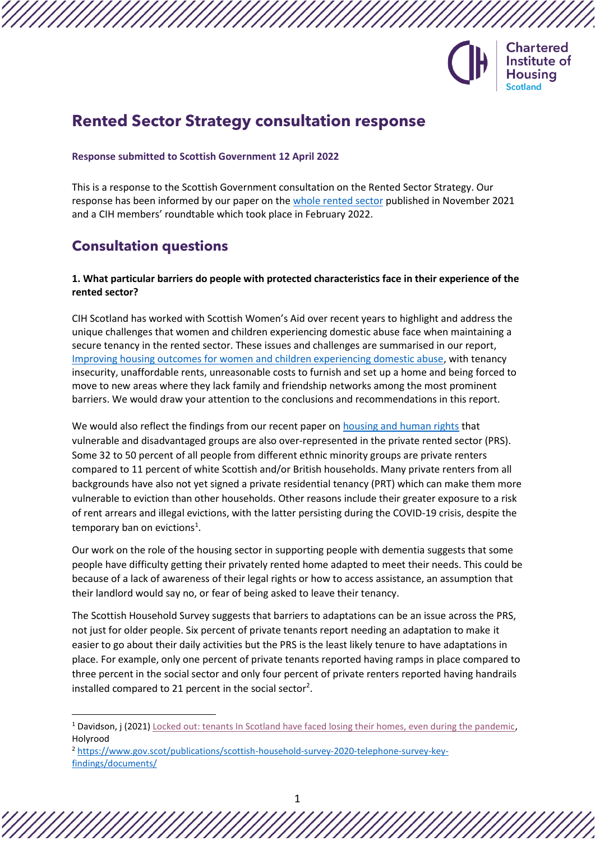

# **Rented Sector Strategy consultation response**

#### **Response submitted to Scottish Government 12 April 2022**

This is a response to the Scottish Government consultation on the Rented Sector Strategy. Our response has been informed by our paper on the [whole rented sector](https://www.cih.org/media/cptdf120/whole-rented-sector-2.pdf) published in November 2021 and a CIH members' roundtable which took place in February 2022.

# **Consultation questions**

### **1. What particular barriers do people with protected characteristics face in their experience of the rented sector?**

CIH Scotland has worked with Scottish Women's Aid over recent years to highlight and address the unique challenges that women and children experiencing domestic abuse face when maintaining a secure tenancy in the rented sector. These issues and challenges are summarised in our report, [Improving housing outcomes for women and children experiencing domestic abuse,](https://www.cih.org/publications/improving-housing-outcomes-for-women-and-children-experiencing-domestic-abuse) with tenancy insecurity, unaffordable rents, unreasonable costs to furnish and set up a home and being forced to move to new areas where they lack family and friendship networks among the most prominent barriers. We would draw your attention to the conclusions and recommendations in this report.

We would also reflect the findings from our recent paper on [housing and human rights](https://www.cih.org/media/mdffyi0b/walking-the-talk-report-2.pdf) that vulnerable and disadvantaged groups are also over-represented in the private rented sector (PRS). Some 32 to 50 percent of all people from different ethnic minority groups are private renters compared to 11 percent of white Scottish and/or British households. Many private renters from all backgrounds have also not yet signed a private residential tenancy (PRT) which can make them more vulnerable to eviction than other households. Other reasons include their greater exposure to a risk of rent arrears and illegal evictions, with the latter persisting during the COVID-19 crisis, despite the temporary ban on evictions<sup>1</sup>.

Our work on the role of the housing sector in supporting people with dementia suggests that some people have difficulty getting their privately rented home adapted to meet their needs. This could be because of a lack of awareness of their legal rights or how to access assistance, an assumption that their landlord would say no, or fear of being asked to leave their tenancy.

The Scottish Household Survey suggests that barriers to adaptations can be an issue across the PRS, not just for older people. Six percent of private tenants report needing an adaptation to make it easier to go about their daily activities but the PRS is the least likely tenure to have adaptations in place. For example, only one percent of private tenants reported having ramps in place compared to three percent in the social sector and only four percent of private renters reported having handrails installed compared to 21 percent in the social sector<sup>2</sup>.

<sup>&</sup>lt;sup>1</sup> Davidson, j (2021) [Locked out: tenants In Scotland have faced losing their homes, even during the pandemic,](https://www.holyrood.com/inside-politics/view,locked-out-tenants-in-scotland-have-faced-losing-their-homes-even-during-the-pandemic) Holyrood

<sup>2</sup> [https://www.gov.scot/publications/scottish-household-survey-2020-telephone-survey-key](https://www.gov.scot/publications/scottish-household-survey-2020-telephone-survey-key-findings/documents/)[findings/documents/](https://www.gov.scot/publications/scottish-household-survey-2020-telephone-survey-key-findings/documents/)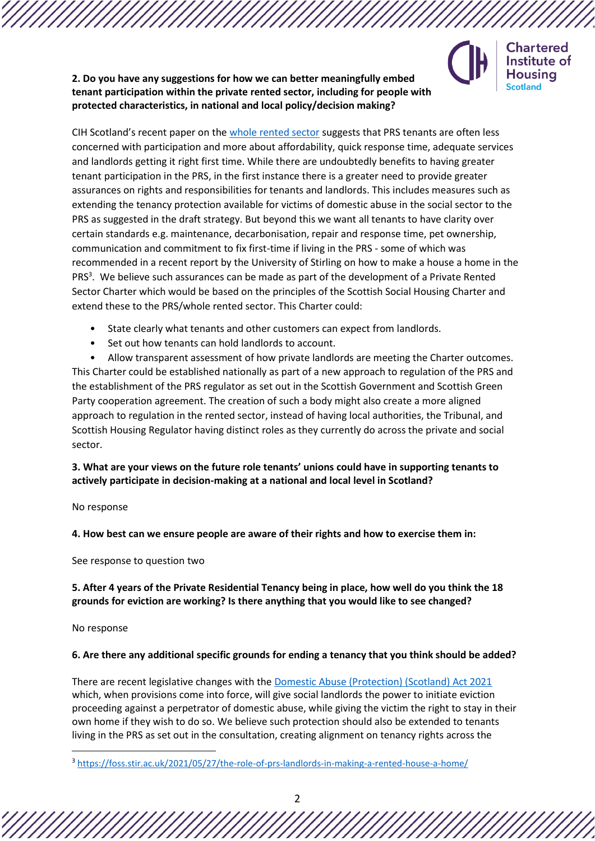

**Chartered** Institute of Housina **Scotland** 

**2. Do you have any suggestions for how we can better meaningfully embed tenant participation within the private rented sector, including for people with protected characteristics, in national and local policy/decision making?**

CIH Scotland's recent paper on the [whole rented sector](https://www.cih.org/media/cptdf120/whole-rented-sector-2.pdf) suggests that PRS tenants are often less concerned with participation and more about affordability, quick response time, adequate services and landlords getting it right first time. While there are undoubtedly benefits to having greater tenant participation in the PRS, in the first instance there is a greater need to provide greater assurances on rights and responsibilities for tenants and landlords. This includes measures such as extending the tenancy protection available for victims of domestic abuse in the social sector to the PRS as suggested in the draft strategy. But beyond this we want all tenants to have clarity over certain standards e.g. maintenance, decarbonisation, repair and response time, pet ownership, communication and commitment to fix first-time if living in the PRS - some of which was recommended in a recent report by the University of Stirling on how to make a house a home in the PRS<sup>3</sup>. We believe such assurances can be made as part of the development of a Private Rented Sector Charter which would be based on the principles of the Scottish Social Housing Charter and extend these to the PRS/whole rented sector. This Charter could:

- State clearly what tenants and other customers can expect from landlords.
- Set out how tenants can hold landlords to account.

• Allow transparent assessment of how private landlords are meeting the Charter outcomes. This Charter could be established nationally as part of a new approach to regulation of the PRS and the establishment of the PRS regulator as set out in the Scottish Government and Scottish Green Party cooperation agreement. The creation of such a body might also create a more aligned approach to regulation in the rented sector, instead of having local authorities, the Tribunal, and Scottish Housing Regulator having distinct roles as they currently do across the private and social sector.

## **3. What are your views on the future role tenants' unions could have in supporting tenants to actively participate in decision-making at a national and local level in Scotland?**

#### No response

**4. How best can we ensure people are aware of their rights and how to exercise them in:**

See response to question two

### **5. After 4 years of the Private Residential Tenancy being in place, how well do you think the 18 grounds for eviction are working? Is there anything that you would like to see changed?**

No response

### **6. Are there any additional specific grounds for ending a tenancy that you think should be added?**

There are recent legislative changes with th[e Domestic Abuse \(Protection\) \(Scotland\) Act 2021](https://www.legislation.gov.uk/asp/2021/16/contents) which, when provisions come into force, will give social landlords the power to initiate eviction proceeding against a perpetrator of domestic abuse, while giving the victim the right to stay in their own home if they wish to do so. We believe such protection should also be extended to tenants living in the PRS as set out in the consultation, creating alignment on tenancy rights across the

<sup>3</sup> <https://foss.stir.ac.uk/2021/05/27/the-role-of-prs-landlords-in-making-a-rented-house-a-home/>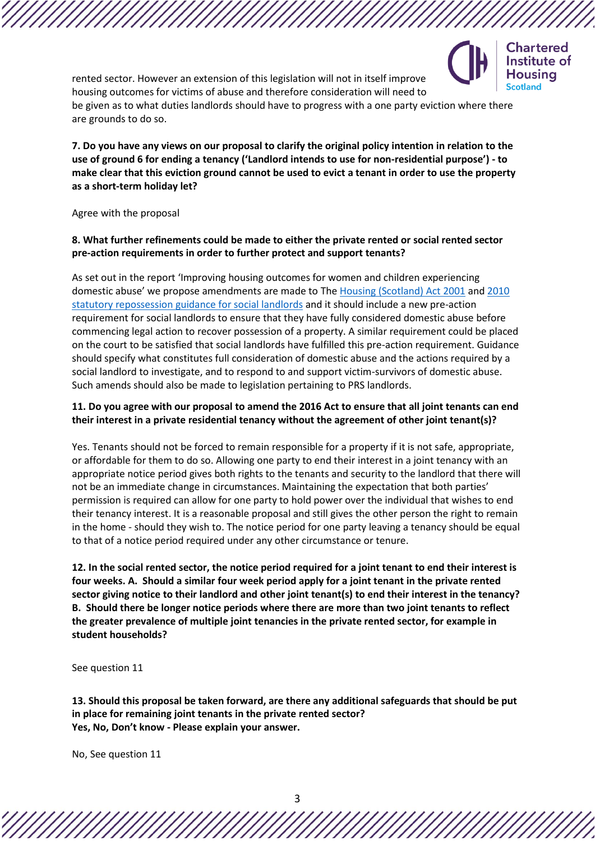

rented sector. However an extension of this legislation will not in itself improve housing outcomes for victims of abuse and therefore consideration will need to be given as to what duties landlords should have to progress with a one party eviction where there are grounds to do so.

**7. Do you have any views on our proposal to clarify the original policy intention in relation to the use of ground 6 for ending a tenancy ('Landlord intends to use for non-residential purpose') - to make clear that this eviction ground cannot be used to evict a tenant in order to use the property as a short-term holiday let?**

Agree with the proposal

### **8. What further refinements could be made to either the private rented or social rented sector pre-action requirements in order to further protect and support tenants?**

[As](https://consult.gov.scot/housing-and-social-justice/draft-rented-sector-strategy/#question-2021-12-14-0824742280-factbanksubquestion) set out in the report 'Improving housing outcomes for women and children experiencing domestic abuse' we propose amendments are made to The [Housing \(Scotland\) Act 2001](https://www.legislation.gov.uk/asp/2001/10/contents) an[d 2010](https://www.gov.scot/publications/housing-scotland-act-2001-2010-guidance-social-landlords-pre-action/)  [statutory repossession guidance for social landlords](https://www.gov.scot/publications/housing-scotland-act-2001-2010-guidance-social-landlords-pre-action/) and it should include a new pre-action requirement for social landlords to ensure that they have fully considered domestic abuse before commencing legal action to recover possession of a property. A similar requirement could be placed on the court to be satisfied that social landlords have fulfilled this pre-action requirement. Guidance should specify what constitutes full consideration of domestic abuse and the actions required by a social landlord to investigate, and to respond to and support victim-survivors of domestic abuse. Such amends should also be made to legislation pertaining to PRS landlords.

### **11. Do you agree with our proposal to amend the 2016 Act to ensure that all joint tenants can end their interest in a private residential tenancy without the agreement of other joint tenant(s)?**

Yes. Tenants should not be forced to remain responsible for a property if it is not safe, appropriate, or affordable for them to do so. Allowing one party to end their interest in a joint tenancy with an appropriate notice period gives both rights to the tenants and security to the landlord that there will not be an immediate change in circumstances. Maintaining the expectation that both parties' permission is required can allow for one party to hold power over the individual that wishes to end their tenancy interest. It is a reasonable proposal and still gives the other person the right to remain in the home - should they wish to. The notice period for one party leaving a tenancy should be equal to that of a notice period required under any other circumstance or tenure.

**12. In the social rented sector, the notice period required for a joint tenant to end their interest is four weeks. A. Should a similar four week period apply for a joint tenant in the private rented sector giving notice to their landlord and other joint tenant(s) to end their interest in the tenancy? B. Should there be longer notice periods where there are more than two joint tenants to reflect the greater prevalence of multiple joint tenancies in the private rented sector, for example in student households?**

See question 11

**13. Should this proposal be taken forward, are there any additional safeguards that should be put in place for remaining joint tenants in the private rented sector? Yes, No, Don't know - Please explain your answer.**

No, See question 11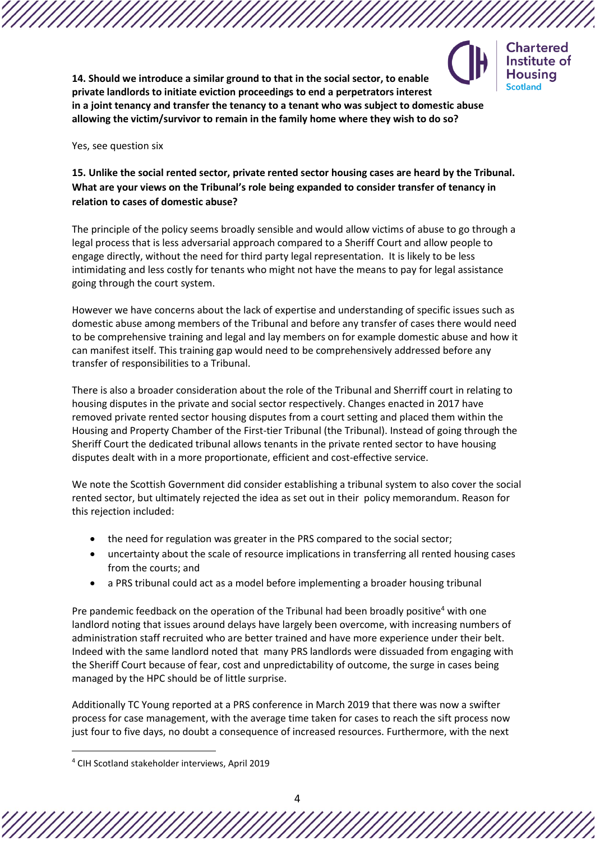

**Chartered** Institute of **Housing Scotland** 

**14. Should we introduce a similar ground to that in the social sector, to enable private landlords to initiate eviction proceedings to end a perpetrators interest in a joint tenancy and transfer the tenancy to a tenant who was subject to domestic abuse allowing the victim/survivor to remain in the family home where they wish to do so?**

Yes, see question six

# **15. Unlike the social rented sector, private rented sector housing cases are heard by the Tribunal. What are your views on the Tribunal's role being expanded to consider transfer of tenancy in relation to cases of domestic abuse?**

The principle of the policy seems broadly sensible and would allow victims of abuse to go through a legal process that is less adversarial approach compared to a Sheriff Court and allow people to engage directly, without the need for third party legal representation. It is likely to be less intimidating and less costly for tenants who might not have the means to pay for legal assistance going through the court system.

However we have concerns about the lack of expertise and understanding of specific issues such as domestic abuse among members of the Tribunal and before any transfer of cases there would need to be comprehensive training and legal and lay members on for example domestic abuse and how it can manifest itself. This training gap would need to be comprehensively addressed before any transfer of responsibilities to a Tribunal.

There is also a broader consideration about the role of the Tribunal and Sherriff court in relating to housing disputes in the private and social sector respectively. Changes enacted in 2017 have removed private rented sector housing disputes from a court setting and placed them within the Housing and Property Chamber of the First-tier Tribunal (the Tribunal). Instead of going through the Sheriff Court the dedicated tribunal allows tenants in the private rented sector to have housing disputes dealt with in a more proportionate, efficient and cost-effective service.

We note the Scottish Government did consider establishing a tribunal system to also cover the social rented sector, but ultimately rejected the idea as set out in their policy memorandum. Reason for this rejection included:

- the need for regulation was greater in the PRS compared to the social sector;
- uncertainty about the scale of resource implications in transferring all rented housing cases from the courts; and
- a PRS tribunal could act as a model before implementing a broader housing tribunal

Pre pandemic feedback on the operation of the Tribunal had been broadly positive<sup>4</sup> with one landlord noting that issues around delays have largely been overcome, with increasing numbers of administration staff recruited who are better trained and have more experience under their belt. Indeed with the same landlord noted that many PRS landlords were dissuaded from engaging with the Sheriff Court because of fear, cost and unpredictability of outcome, the surge in cases being managed by the HPC should be of little surprise.

Additionally TC Young reported at a PRS conference in March 2019 that there was now a swifter process for case management, with the average time taken for cases to reach the sift process now just four to five days, no doubt a consequence of increased resources. Furthermore, with the next

<sup>4</sup> CIH Scotland stakeholder interviews, April 2019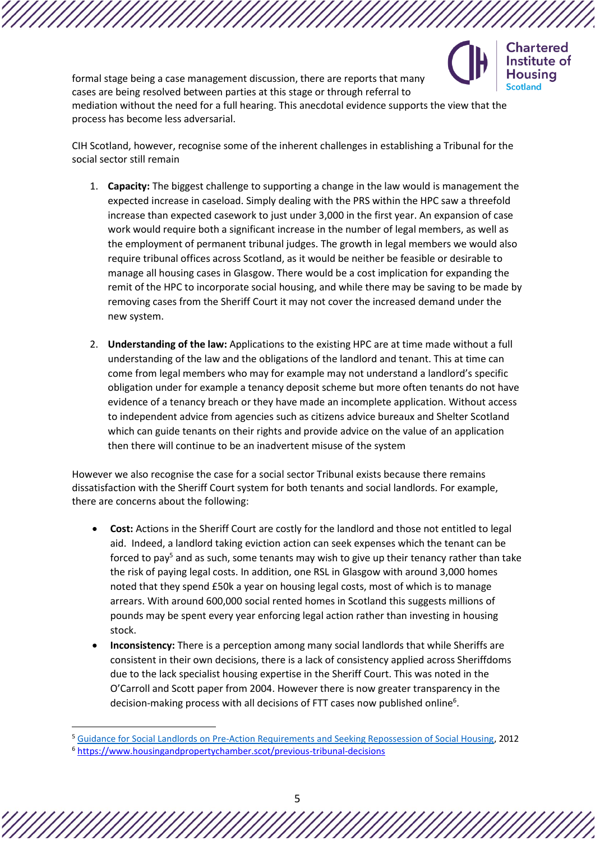

formal stage being a case management discussion, there are reports that many cases are being resolved between parties at this stage or through referral to mediation without the need for a full hearing. This anecdotal evidence supports the view that the process has become less adversarial.

CIH Scotland, however, recognise some of the inherent challenges in establishing a Tribunal for the social sector still remain

- 1. **Capacity:** The biggest challenge to supporting a change in the law would is management the expected increase in caseload. Simply dealing with the PRS within the HPC saw a threefold increase than expected casework to just under 3,000 in the first year. An expansion of case work would require both a significant increase in the number of legal members, as well as the employment of permanent tribunal judges. The growth in legal members we would also require tribunal offices across Scotland, as it would be neither be feasible or desirable to manage all housing cases in Glasgow. There would be a cost implication for expanding the remit of the HPC to incorporate social housing, and while there may be saving to be made by removing cases from the Sheriff Court it may not cover the increased demand under the new system.
- 2. **Understanding of the law:** Applications to the existing HPC are at time made without a full understanding of the law and the obligations of the landlord and tenant. This at time can come from legal members who may for example may not understand a landlord's specific obligation under for example a tenancy deposit scheme but more often tenants do not have evidence of a tenancy breach or they have made an incomplete application. Without access to independent advice from agencies such as citizens advice bureaux and Shelter Scotland which can guide tenants on their rights and provide advice on the value of an application then there will continue to be an inadvertent misuse of the system

However we also recognise the case for a social sector Tribunal exists because there remains dissatisfaction with the Sheriff Court system for both tenants and social landlords. For example, there are concerns about the following:

- **Cost:** Actions in the Sheriff Court are costly for the landlord and those not entitled to legal aid. Indeed, a landlord taking eviction action can seek expenses which the tenant can be forced to pay<sup>5</sup> and as such, some tenants may wish to give up their tenancy rather than take the risk of paying legal costs. In addition, one RSL in Glasgow with around 3,000 homes noted that they spend £50k a year on housing legal costs, most of which is to manage arrears. With around 600,000 social rented homes in Scotland this suggests millions of pounds may be spent every year enforcing legal action rather than investing in housing stock.
- **Inconsistency:** There is a perception among many social landlords that while Sheriffs are consistent in their own decisions, there is a lack of consistency applied across Sheriffdoms due to the lack specialist housing expertise in the Sheriff Court. This was noted in the O'Carroll and Scott paper from 2004. However there is now greater transparency in the decision-making process with all decisions of FTT cases now published online<sup>6</sup>.

<sup>5</sup> [Guidance for Social Landlords on Pre-Action Requirements and Seeking Repossession of Social Housing,](https://www.gov.scot/publications/housing-scotland-act-2001-2010-guidance-social-landlords-pre-action/) 2012 <sup>6</sup> <https://www.housingandpropertychamber.scot/previous-tribunal-decisions>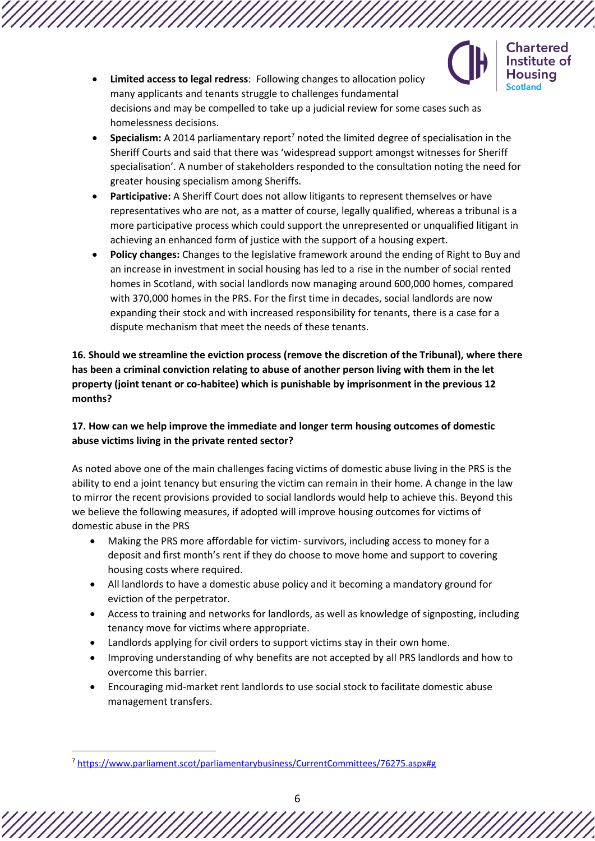

**Chartered** Institute of **Housing Scotland** 

- **Limited access to legal redress**: Following changes to allocation policy many applicants and tenants struggle to challenges fundamental decisions and may be compelled to take up a judicial review for some cases such as homelessness decisions.
- **Specialism:** A 2014 parliamentary report<sup>7</sup> noted the limited degree of specialisation in the Sheriff Courts and said that there was 'widespread support amongst witnesses for Sheriff specialisation'. A number of stakeholders responded to the consultation noting the need for greater housing specialism among Sheriffs.
- **Participative:** A Sheriff Court does not allow litigants to represent themselves or have representatives who are not, as a matter of course, legally qualified, whereas a tribunal is a more participative process which could support the unrepresented or unqualified litigant in achieving an enhanced form of justice with the support of a housing expert.
- **Policy changes:** Changes to the legislative framework around the ending of Right to Buy and an increase in investment in social housing has led to a rise in the number of social rented homes in Scotland, with social landlords now managing around 600,000 homes, compared with 370,000 homes in the PRS. For the first time in decades, social landlords are now expanding their stock and with increased responsibility for tenants, there is a case for a dispute mechanism that meet the needs of these tenants.

# **16. Should we streamline the eviction process (remove the discretion of the Tribunal), where there has been a criminal conviction relating to abuse of another person living with them in the let property (joint tenant or co-habitee) which is punishable by imprisonment in the previous 12 months?**

# **17. How can we help improve the immediate and longer term housing outcomes of domestic abuse victims living in the private rented sector?**

As noted above one of the main challenges facing victims of domestic abuse living in the PRS is the ability to end a joint tenancy but ensuring the victim can remain in their home. A change in the law to mirror the recent provisions provided to social landlords would help to achieve this. Beyond this we believe the following measures, if adopted will improve housing outcomes for victims of domestic abuse in the PRS

- Making the PRS more affordable for victim- survivors, including access to money for a deposit and first month's rent if they do choose to move home and support to covering housing costs where required.
- All landlords to have a domestic abuse policy and it becoming a mandatory ground for eviction of the perpetrator.
- Access to training and networks for landlords, as well as knowledge of signposting, including tenancy move for victims where appropriate.
- Landlords applying for civil orders to support victims stay in their own home.
- Improving understanding of why benefits are not accepted by all PRS landlords and how to overcome this barrier.
- Encouraging mid-market rent landlords to use social stock to facilitate domestic abuse management transfers.

<sup>7</sup> <https://www.parliament.scot/parliamentarybusiness/CurrentCommittees/76275.aspx#g>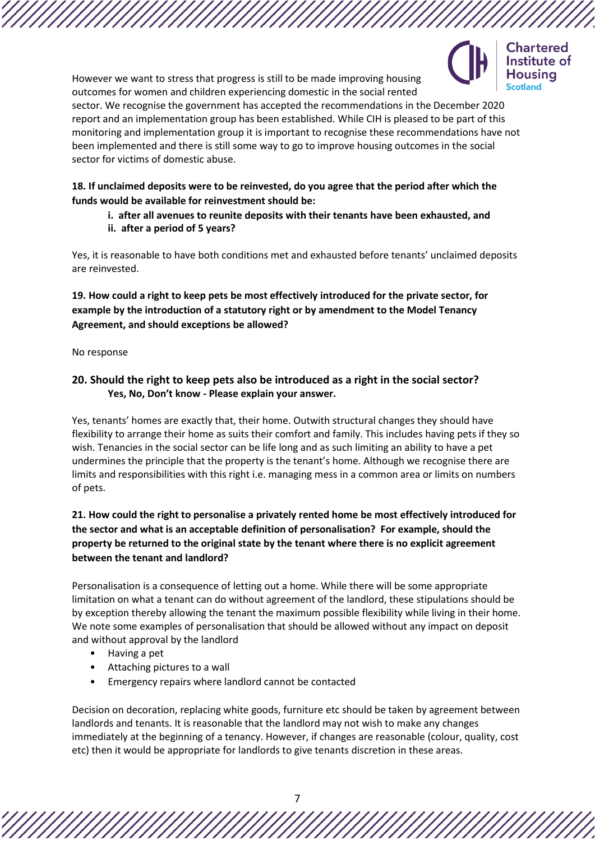

However we want to stress that progress is still to be made improving housing outcomes for women and children experiencing domestic in the social rented

sector. We recognise the government has accepted the recommendations in the December 2020 report and an implementation group has been established. While CIH is pleased to be part of this monitoring and implementation group it is important to recognise these recommendations have not been implemented and there is still some way to go to improve housing outcomes in the social sector for victims of domestic abuse.

## **18. If unclaimed deposits were to be reinvested, do you agree that the period after which the funds would be available for reinvestment should be:**

**i. after all avenues to reunite deposits with their tenants have been exhausted, and ii. after a period of 5 years?**

Yes, it is reasonable to have both conditions met and exhausted before tenants' unclaimed deposits are reinvested.

**19. How could a right to keep pets be most effectively introduced for the private sector, for example by the introduction of a statutory right or by amendment to the Model Tenancy Agreement, and should exceptions be allowed?**

No response

# **20. Should the right to keep pets also be introduced as a right in the social sector? Yes, No, Don't know - Please explain your answer.**

Yes, tenants' homes are exactly that, their home. Outwith structural changes they should have flexibility to arrange their home as suits their comfort and family. This includes having pets if they so wish. Tenancies in the social sector can be life long and as such limiting an ability to have a pet undermines the principle that the property is the tenant's home. Although we recognise there are limits and responsibilities with this right i.e. managing mess in a common area or limits on numbers of pets.

# **21. How could the right to personalise a privately rented home be most effectively introduced for the sector and what is an acceptable definition of personalisation? For example, should the property be returned to the original state by the tenant where there is no explicit agreement between the tenant and landlord?**

Personalisation is a consequence of letting out a home. While there will be some appropriate limitation on what a tenant can do without agreement of the landlord, these stipulations should be by exception thereby allowing the tenant the maximum possible flexibility while living in their home. We note some examples of personalisation that should be allowed without any impact on deposit and without approval by the landlord

- Having a pet
- Attaching pictures to a wall
- Emergency repairs where landlord cannot be contacted

Decision on decoration, replacing white goods, furniture etc should be taken by agreement between landlords and tenants. It is reasonable that the landlord may not wish to make any changes immediately at the beginning of a tenancy. However, if changes are reasonable (colour, quality, cost etc) then it would be appropriate for landlords to give tenants discretion in these areas.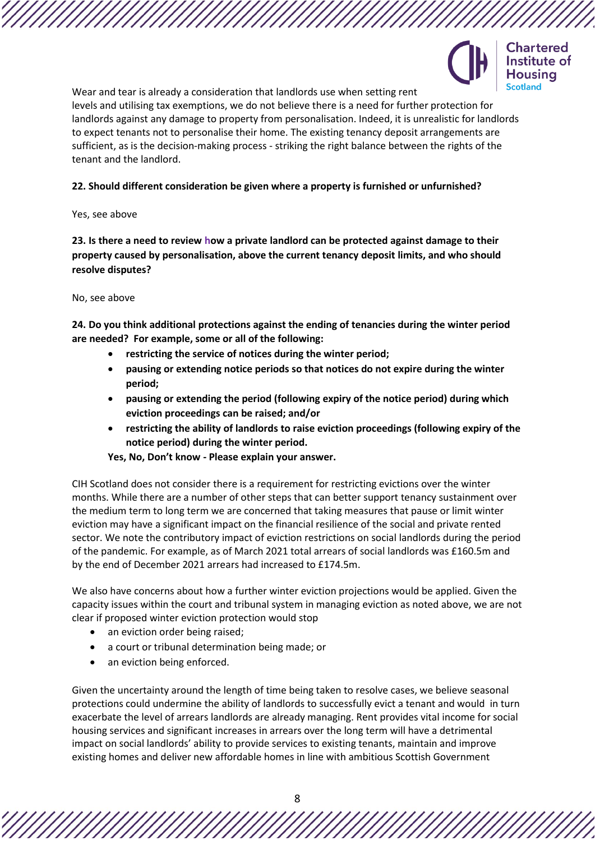

Chartered Institute of Housina **Scotland** 

Wear and tear is already a consideration that landlords use when setting rent levels and utilising tax exemptions, we do not believe there is a need for further protection for landlords against any damage to property from personalisation. Indeed, it is unrealistic for landlords to expect tenants not to personalise their home. The existing tenancy deposit arrangements are sufficient, as is the decision-making process - striking the right balance between the rights of the tenant and the landlord.

### **22. Should different consideration be given where a property is furnished or unfurnished?**

#### Yes, see above

**23. Is there a need to review how a private landlord can be protected against damage to their property caused by personalisation, above the current tenancy deposit limits, and who should resolve disputes?**

#### No, see above

**24. Do you think additional protections against the ending of tenancies during the winter period are needed? For example, some or all of the following:**

- **restricting the service of notices during the winter period;**
- **pausing or extending notice periods so that notices do not expire during the winter period;**
- **pausing or extending the period (following expiry of the notice period) during which eviction proceedings can be raised; and/or**
- **restricting the ability of landlords to raise eviction proceedings (following expiry of the notice period) during the winter period.**

**Yes, No, Don't know - Please explain your answer.**

CIH Scotland does not consider there is a requirement for restricting evictions over the winter months. While there are a number of other steps that can better support tenancy sustainment over the medium term to long term we are concerned that taking measures that pause or limit winter eviction may have a significant impact on the financial resilience of the social and private rented sector. We note the contributory impact of eviction restrictions on social landlords during the period of the pandemic. For example, as of March 2021 total arrears of social landlords was £160.5m and by the end of December 2021 arrears had increased to £174.5m.

We also have concerns about how a further winter eviction projections would be applied. Given the capacity issues within the court and tribunal system in managing eviction as noted above, we are not clear if proposed winter eviction protection would stop

- an eviction order being raised;
- a court or tribunal determination being made; or
- an eviction being enforced.

Given the uncertainty around the length of time being taken to resolve cases, we believe seasonal protections could undermine the ability of landlords to successfully evict a tenant and would in turn exacerbate the level of arrears landlords are already managing. Rent provides vital income for social housing services and significant increases in arrears over the long term will have a detrimental impact on social landlords' ability to provide services to existing tenants, maintain and improve existing homes and deliver new affordable homes in line with ambitious Scottish Government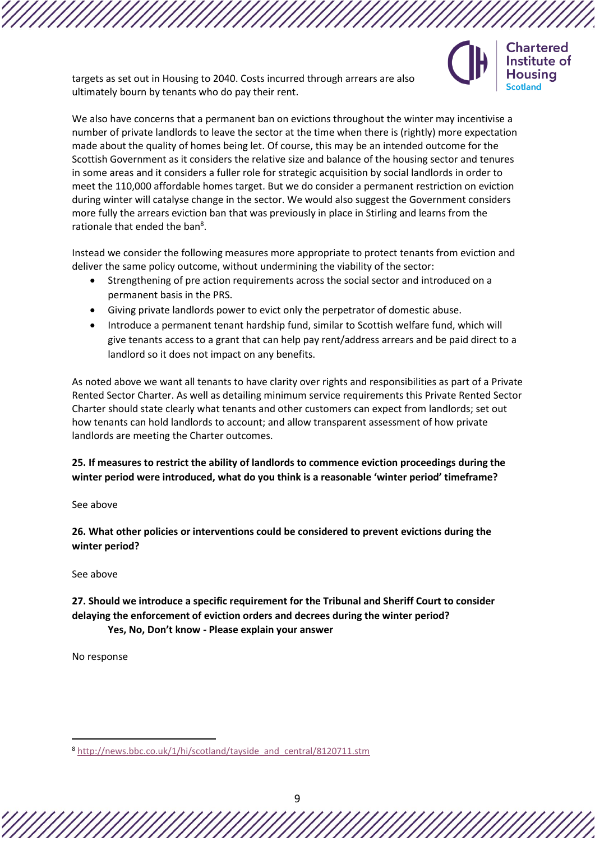targets as set out in Housing to 2040. Costs incurred through arrears are also ultimately bourn by tenants who do pay their rent.

We also have concerns that a permanent ban on evictions throughout the winter may incentivise a number of private landlords to leave the sector at the time when there is (rightly) more expectation made about the quality of homes being let. Of course, this may be an intended outcome for the Scottish Government as it considers the relative size and balance of the housing sector and tenures in some areas and it considers a fuller role for strategic acquisition by social landlords in order to meet the 110,000 affordable homes target. But we do consider a permanent restriction on eviction during winter will catalyse change in the sector. We would also suggest the Government considers more fully the arrears eviction ban that was previously in place in Stirling and learns from the rationale that ended the ban<sup>8</sup>.

**Chartered** Institute of Housina

Instead we consider the following measures more appropriate to protect tenants from eviction and deliver the same policy outcome, without undermining the viability of the sector:

- Strengthening of pre action requirements across the social sector and introduced on a permanent basis in the PRS.
- Giving private landlords power to evict only the perpetrator of domestic abuse.
- Introduce a permanent tenant hardship fund, similar to Scottish welfare fund, which will give tenants access to a grant that can help pay rent/address arrears and be paid direct to a landlord so it does not impact on any benefits.

As noted above we want all tenants to have clarity over rights and responsibilities as part of a Private Rented Sector Charter. As well as detailing minimum service requirements this Private Rented Sector Charter should state clearly what tenants and other customers can expect from landlords; set out how tenants can hold landlords to account; and allow transparent assessment of how private landlords are meeting the Charter outcomes.

**25. If measures to restrict the ability of landlords to commence eviction proceedings during the winter period were introduced, what do you think is a reasonable 'winter period' timeframe?**

See above

**26. What other policies or interventions could be considered to prevent evictions during the winter period?**

See above

**27. Should we introduce a specific requirement for the Tribunal and Sheriff Court to consider delaying the enforcement of eviction orders and decrees during the winter period? Yes, No, Don't know - Please explain your answer**

No response

<sup>8</sup> [http://news.bbc.co.uk/1/hi/scotland/tayside\\_and\\_central/8120711.stm](http://news.bbc.co.uk/1/hi/scotland/tayside_and_central/8120711.stm)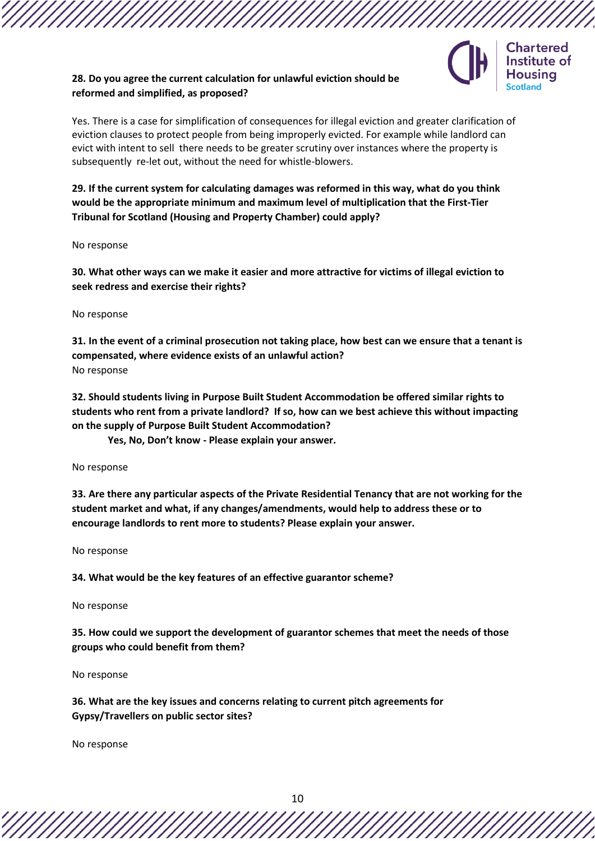# **28. Do you agree the current calculation for unlawful eviction should be reformed and simplified, as proposed?**



Yes. There is a case for simplification of consequences for illegal eviction and greater clarification of eviction clauses to protect people from being improperly evicted. For example while landlord can evict with intent to sell there needs to be greater scrutiny over instances where the property is subsequently re-let out, without the need for whistle-blowers.

**29. If the current system for calculating damages was reformed in this way, what do you think would be the appropriate minimum and maximum level of multiplication that the First-Tier Tribunal for Scotland (Housing and Property Chamber) could apply?** 

No response

**30. What other ways can we make it easier and more attractive for victims of illegal eviction to seek redress and exercise their rights?**

No response

**31. In the event of a criminal prosecution not taking place, how best can we ensure that a tenant is compensated, where evidence exists of an unlawful action?** No response

**32. Should students living in Purpose Built Student Accommodation be offered similar rights to students who rent from a private landlord? If so, how can we best achieve this without impacting on the supply of Purpose Built Student Accommodation?** 

**Yes, No, Don't know - Please explain your answer.**

No response

**33. Are there any particular aspects of the Private Residential Tenancy that are not working for the student market and what, if any changes/amendments, would help to address these or to encourage landlords to rent more to students? Please explain your answer.**

No response

**34. What would be the key features of an effective guarantor scheme?**

No response

**35. How could we support the development of guarantor schemes that meet the needs of those groups who could benefit from them?**

No response

**36. What are the key issues and concerns relating to current pitch agreements for Gypsy/Travellers on public sector sites?**

No response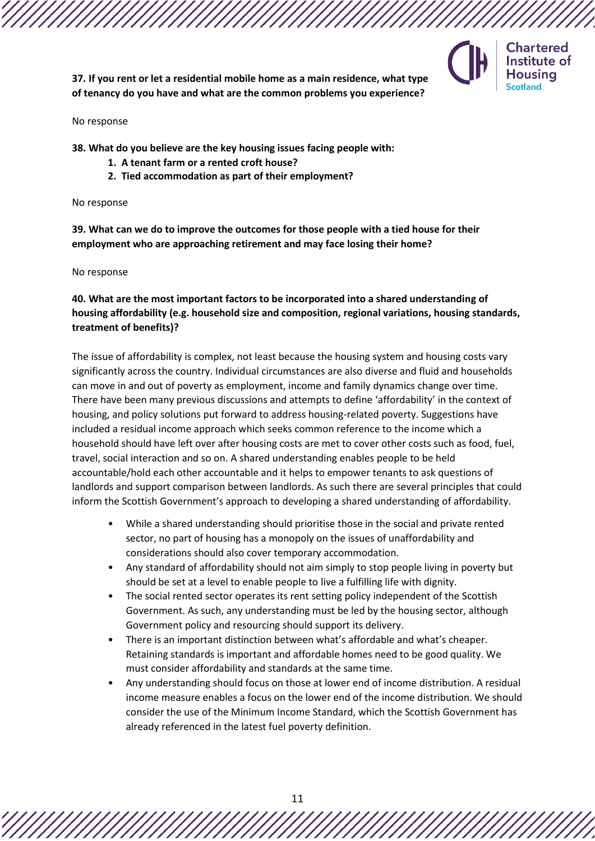

**Chartered** Institute of Housina

**37. If you rent or let a residential mobile home as a main residence, what type of tenancy do you have and what are the common problems you experience?**

#### No response

**38. What do you believe are the key housing issues facing people with:**

- **1. A tenant farm or a rented croft house?**
- **2. Tied accommodation as part of their employment?**

No response

**39. What can we do to improve the outcomes for those people with a tied house for their employment who are approaching retirement and may face losing their home?** 

No response

## **40. What are the most important factors to be incorporated into a shared understanding of housing affordability (e.g. household size and composition, regional variations, housing standards, treatment of benefits)?**

The issue of affordability is complex, not least because the housing system and housing costs vary significantly across the country. Individual circumstances are also diverse and fluid and households can move in and out of poverty as employment, income and family dynamics change over time. There have been many previous discussions and attempts to define 'affordability' in the context of housing, and policy solutions put forward to address housing-related poverty. Suggestions have included a residual income approach which seeks common reference to the income which a household should have left over after housing costs are met to cover other costs such as food, fuel, travel, social interaction and so on. A shared understanding enables people to be held accountable/hold each other accountable and it helps to empower tenants to ask questions of landlords and support comparison between landlords. As such there are several principles that could inform the Scottish Government's approach to developing a shared understanding of affordability.

- While a shared understanding should prioritise those in the social and private rented sector, no part of housing has a monopoly on the issues of unaffordability and considerations should also cover temporary accommodation.
- Any standard of affordability should not aim simply to stop people living in poverty but should be set at a level to enable people to live a fulfilling life with dignity.
- The social rented sector operates its rent setting policy independent of the Scottish Government. As such, any understanding must be led by the housing sector, although Government policy and resourcing should support its delivery.
- There is an important distinction between what's affordable and what's cheaper. Retaining standards is important and affordable homes need to be good quality. We must consider affordability and standards at the same time.
- Any understanding should focus on those at lower end of income distribution. A residual income measure enables a focus on the lower end of the income distribution. We should consider the use of the Minimum Income Standard, which the Scottish Government has already referenced in the latest fuel poverty definition.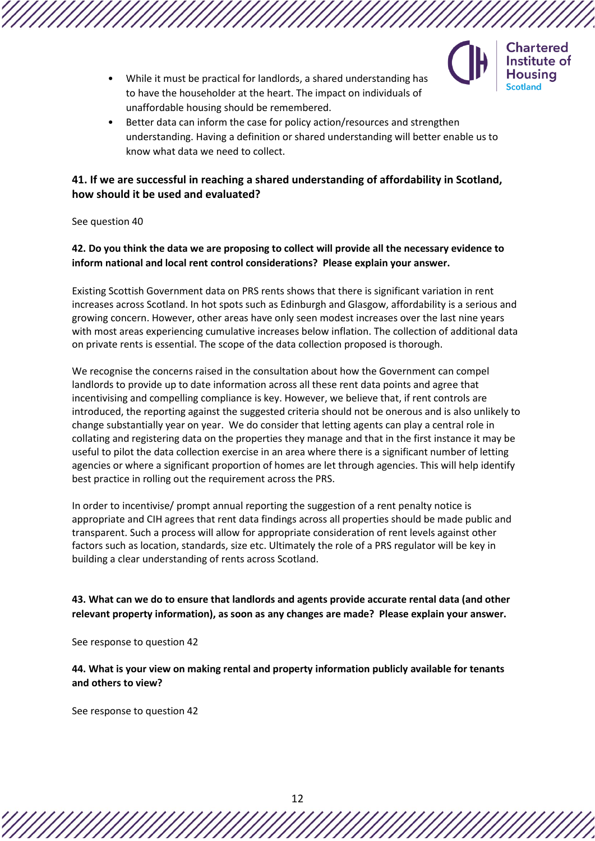

- **Chartered** Institute of Housina
- While it must be practical for landlords, a shared understanding has to have the householder at the heart. The impact on individuals of unaffordable housing should be remembered.
- Better data can inform the case for policy action/resources and strengthen understanding. Having a definition or shared understanding will better enable us to know what data we need to collect.

# **41. If we are successful in reaching a shared understanding of affordability in Scotland, how should it be used and evaluated?**

See question 40

**42. Do you think the data we are proposing to collect will provide all the necessary evidence to inform national and local rent control considerations? Please explain your answer.**

Existing Scottish Government data on PRS rents shows that there is significant variation in rent increases across Scotland. In hot spots such as Edinburgh and Glasgow, affordability is a serious and growing concern. However, other areas have only seen modest increases over the last nine years with most areas experiencing cumulative increases below inflation. The collection of additional data on private rents is essential. The scope of the data collection proposed is thorough.

We recognise the concerns raised in the consultation about how the Government can compel landlords to provide up to date information across all these rent data points and agree that incentivising and compelling compliance is key. However, we believe that, if rent controls are introduced, the reporting against the suggested criteria should not be onerous and is also unlikely to change substantially year on year. We do consider that letting agents can play a central role in collating and registering data on the properties they manage and that in the first instance it may be useful to pilot the data collection exercise in an area where there is a significant number of letting agencies or where a significant proportion of homes are let through agencies. This will help identify best practice in rolling out the requirement across the PRS.

In order to incentivise/ prompt annual reporting the suggestion of a rent penalty notice is appropriate and CIH agrees that rent data findings across all properties should be made public and transparent. Such a process will allow for appropriate consideration of rent levels against other factors such as location, standards, size etc. Ultimately the role of a PRS regulator will be key in building a clear understanding of rents across Scotland.

**43. What can we do to ensure that landlords and agents provide accurate rental data (and other relevant property information), as soon as any changes are made? Please explain your answer.**

See response to question 42

**44. What is your view on making rental and property information publicly available for tenants and others to view?**

See response to question 42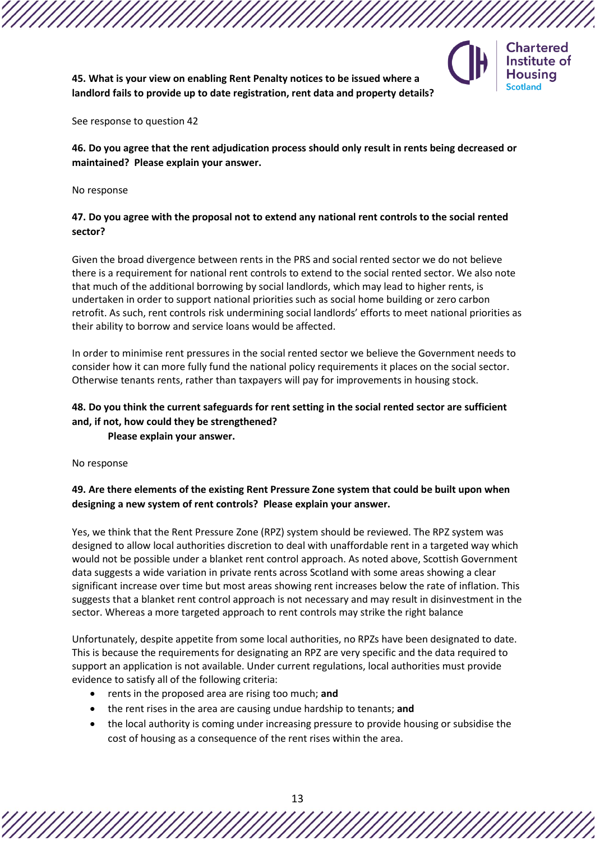

**Chartered** Institute of **Housing Scotland** 

**45. What is your view on enabling Rent Penalty notices to be issued where a landlord fails to provide up to date registration, rent data and property details?**

See response to question 42

**46. Do you agree that the rent adjudication process should only result in rents being decreased or maintained? Please explain your answer.**

No response

## **47. Do you agree with the proposal not to extend any national rent controls to the social rented sector?**

Given the broad divergence between rents in the PRS and social rented sector we do not believe there is a requirement for national rent controls to extend to the social rented sector. We also note that much of the additional borrowing by social landlords, which may lead to higher rents, is undertaken in order to support national priorities such as social home building or zero carbon retrofit. As such, rent controls risk undermining social landlords' efforts to meet national priorities as their ability to borrow and service loans would be affected.

In order to minimise rent pressures in the social rented sector we believe the Government needs to consider how it can more fully fund the national policy requirements it places on the social sector. Otherwise tenants rents, rather than taxpayers will pay for improvements in housing stock.

# **48. Do you think the current safeguards for rent setting in the social rented sector are sufficient and, if not, how could they be strengthened?**

**Please explain your answer.**

No response

# **49. Are there elements of the existing Rent Pressure Zone system that could be built upon when designing a new system of rent controls? Please explain your answer.**

Yes, we think that the Rent Pressure Zone (RPZ) system should be reviewed. The RPZ system was designed to allow local authorities discretion to deal with unaffordable rent in a targeted way which would not be possible under a blanket rent control approach. As noted above, Scottish Government data suggests a wide variation in private rents across Scotland with some areas showing a clear significant increase over time but most areas showing rent increases below the rate of inflation. This suggests that a blanket rent control approach is not necessary and may result in disinvestment in the sector. Whereas a more targeted approach to rent controls may strike the right balance

Unfortunately, despite appetite from some local authorities, no RPZs have been designated to date. This is because the requirements for designating an RPZ are very specific and the data required to support an application is not available. Under current regulations, local authorities must provide evidence to satisfy all of the following criteria:

- rents in the proposed area are rising too much; **and**
- the rent rises in the area are causing undue hardship to tenants; **and**
- the local authority is coming under increasing pressure to provide housing or subsidise the cost of housing as a consequence of the rent rises within the area.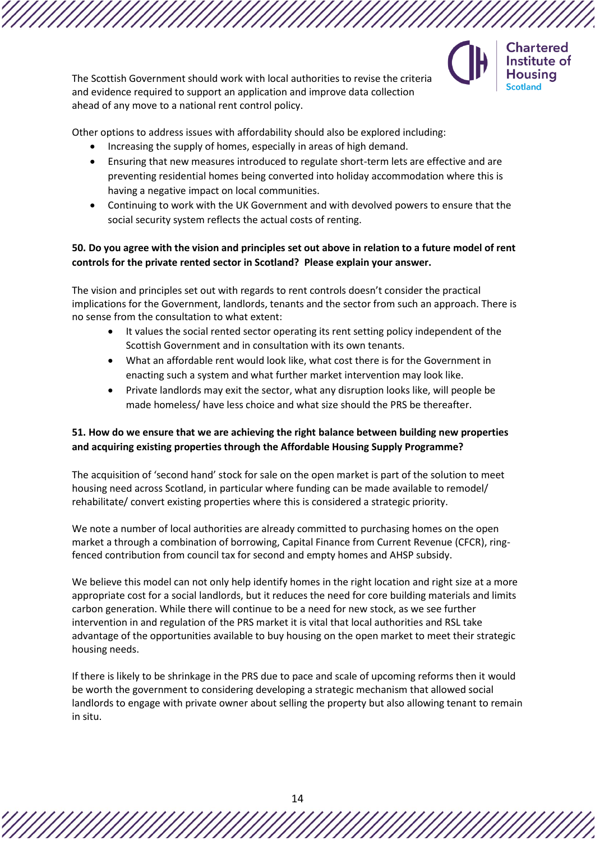

The Scottish Government should work with local authorities to revise the criteria and evidence required to support an application and improve data collection ahead of any move to a national rent control policy.

Other options to address issues with affordability should also be explored including:

- Increasing the supply of homes, especially in areas of high demand.
- Ensuring that new measures introduced to regulate short-term lets are effective and are preventing residential homes being converted into holiday accommodation where this is having a negative impact on local communities.
- Continuing to work with the UK Government and with devolved powers to ensure that the social security system reflects the actual costs of renting.

## **50. Do you agree with the vision and principles set out above in relation to a future model of rent controls for the private rented sector in Scotland? Please explain your answer.**

The vision and principles set out with regards to rent controls doesn't consider the practical implications for the Government, landlords, tenants and the sector from such an approach. There is no sense from the consultation to what extent:

- It values the social rented sector operating its rent setting policy independent of the Scottish Government and in consultation with its own tenants.
- What an affordable rent would look like, what cost there is for the Government in enacting such a system and what further market intervention may look like.
- Private landlords may exit the sector, what any disruption looks like, will people be made homeless/ have less choice and what size should the PRS be thereafter.

# **51. How do we ensure that we are achieving the right balance between building new properties and acquiring existing properties through the Affordable Housing Supply Programme?**

The acquisition of 'second hand' stock for sale on the open market is part of the solution to meet housing need across Scotland, in particular where funding can be made available to remodel/ rehabilitate/ convert existing properties where this is considered a strategic priority.

We note a number of local authorities are already committed to purchasing homes on the open market a through a combination of borrowing, Capital Finance from Current Revenue (CFCR), ringfenced contribution from council tax for second and empty homes and AHSP subsidy.

We believe this model can not only help identify homes in the right location and right size at a more appropriate cost for a social landlords, but it reduces the need for core building materials and limits carbon generation. While there will continue to be a need for new stock, as we see further intervention in and regulation of the PRS market it is vital that local authorities and RSL take advantage of the opportunities available to buy housing on the open market to meet their strategic housing needs.

If there is likely to be shrinkage in the PRS due to pace and scale of upcoming reforms then it would be worth the government to considering developing a strategic mechanism that allowed social landlords to engage with private owner about selling the property but also allowing tenant to remain in situ.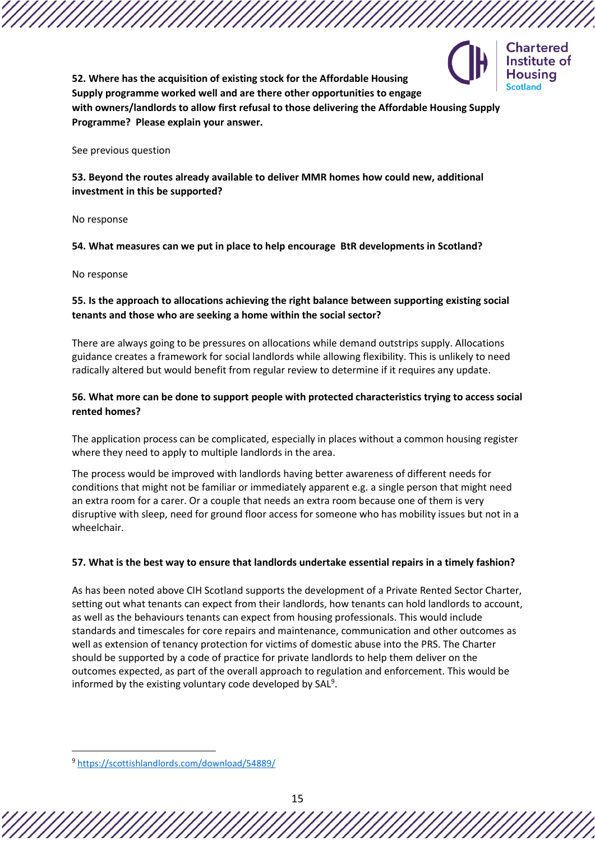

**52. Where has the acquisition of existing stock for the Affordable Housing Supply programme worked well and are there other opportunities to engage with owners/landlords to allow first refusal to those delivering the Affordable Housing Supply Programme? Please explain your answer.**

See previous question

**53. Beyond the routes already available to deliver MMR homes how could new, additional investment in this be supported?**

No response

**54. What measures can we put in place to help encourage BtR developments in Scotland?**

No response

### **55. Is the approach to allocations achieving the right balance between supporting existing social tenants and those who are seeking a home within the social sector?**

There are always going to be pressures on allocations while demand outstrips supply. Allocations guidance creates a framework for social landlords while allowing flexibility. This is unlikely to need radically altered but would benefit from regular review to determine if it requires any update.

### **56. What more can be done to support people with protected characteristics trying to access social rented homes?**

The application process can be complicated, especially in places without a common housing register where they need to apply to multiple landlords in the area.

The process would be improved with landlords having better awareness of different needs for conditions that might not be familiar or immediately apparent e.g. a single person that might need an extra room for a carer. Or a couple that needs an extra room because one of them is very disruptive with sleep, need for ground floor access for someone who has mobility issues but not in a wheelchair.

#### **57. What is the best way to ensure that landlords undertake essential repairs in a timely fashion?**

As has been noted above CIH Scotland supports the development of a Private Rented Sector Charter, setting out what tenants can expect from their landlords, how tenants can hold landlords to account, as well as the behaviours tenants can expect from housing professionals. This would include standards and timescales for core repairs and maintenance, communication and other outcomes as well as extension of tenancy protection for victims of domestic abuse into the PRS. The Charter should be supported by a code of practice for private landlords to help them deliver on the outcomes expected, as part of the overall approach to regulation and enforcement. This would be informed by the existing voluntary code developed by SAL<sup>9</sup>.

<sup>9</sup> <https://scottishlandlords.com/download/54889/>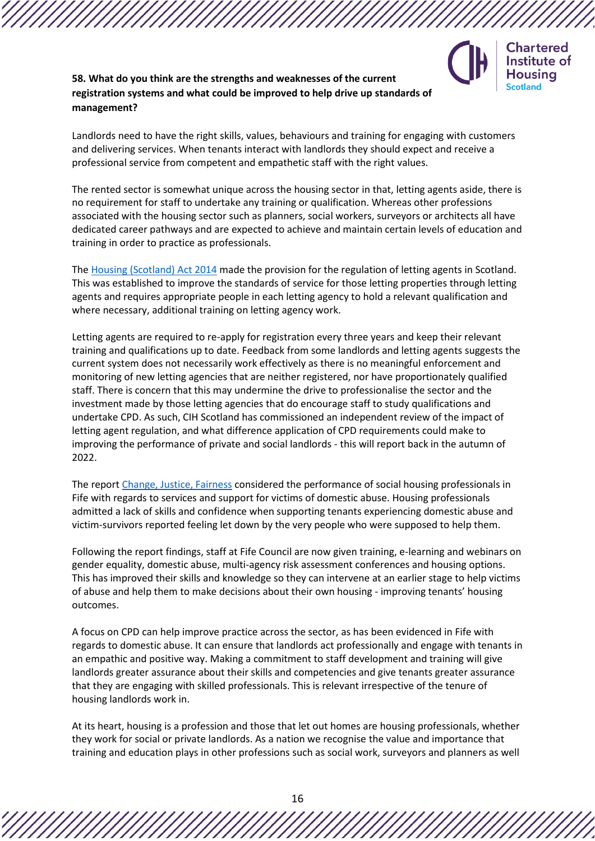

# **58. What do you think are the strengths and weaknesses of the current registration systems and what could be improved to help drive up standards of management?**

Landlords need to have the right skills, values, behaviours and training for engaging with customers and delivering services. When tenants interact with landlords they should expect and receive a professional service from competent and empathetic staff with the right values.

The rented sector is somewhat unique across the housing sector in that, letting agents aside, there is no requirement for staff to undertake any training or qualification. Whereas other professions associated with the housing sector such as planners, social workers, surveyors or architects all have dedicated career pathways and are expected to achieve and maintain certain levels of education and training in order to practice as professionals.

The [Housing \(Scotland\) Act 2014](https://www.legislation.gov.uk/asp/2014/14/contents) made the provision for the regulation of letting agents in Scotland. This was established to improve the standards of service for those letting properties through letting agents and requires appropriate people in each letting agency to hold a relevant qualification and where necessary, additional training on letting agency work.

Letting agents are required to re-apply for registration every three years and keep their relevant training and qualifications up to date. Feedback from some landlords and letting agents suggests the current system does not necessarily work effectively as there is no meaningful enforcement and monitoring of new letting agencies that are neither registered, nor have proportionately qualified staff. There is concern that this may undermine the drive to professionalise the sector and the investment made by those letting agencies that do encourage staff to study qualifications and undertake CPD. As such, CIH Scotland has commissioned an independent review of the impact of letting agent regulation, and what difference application of CPD requirements could make to improving the performance of private and social landlords - this will report back in the autumn of 2022.

The report [Change, Justice, Fairness](https://womensaid.scot/wp-content/uploads/2017/07/Change-Justice-Fairness.pdf) considered the performance of social housing professionals in Fife with regards to services and support for victims of domestic abuse. Housing professionals admitted a lack of skills and confidence when supporting tenants experiencing domestic abuse and victim-survivors reported feeling let down by the very people who were supposed to help them.

Following the report findings, staff at Fife Council are now given training, e-learning and webinars on gender equality, domestic abuse, multi-agency risk assessment conferences and housing options. This has improved their skills and knowledge so they can intervene at an earlier stage to help victims of abuse and help them to make decisions about their own housing - improving tenants' housing outcomes.

A focus on CPD can help improve practice across the sector, as has been evidenced in Fife with regards to domestic abuse. It can ensure that landlords act professionally and engage with tenants in an empathic and positive way. Making a commitment to staff development and training will give landlords greater assurance about their skills and competencies and give tenants greater assurance that they are engaging with skilled professionals. This is relevant irrespective of the tenure of housing landlords work in.

At its heart, housing is a profession and those that let out homes are housing professionals, whether they work for social or private landlords. As a nation we recognise the value and importance that training and education plays in other professions such as social work, surveyors and planners as well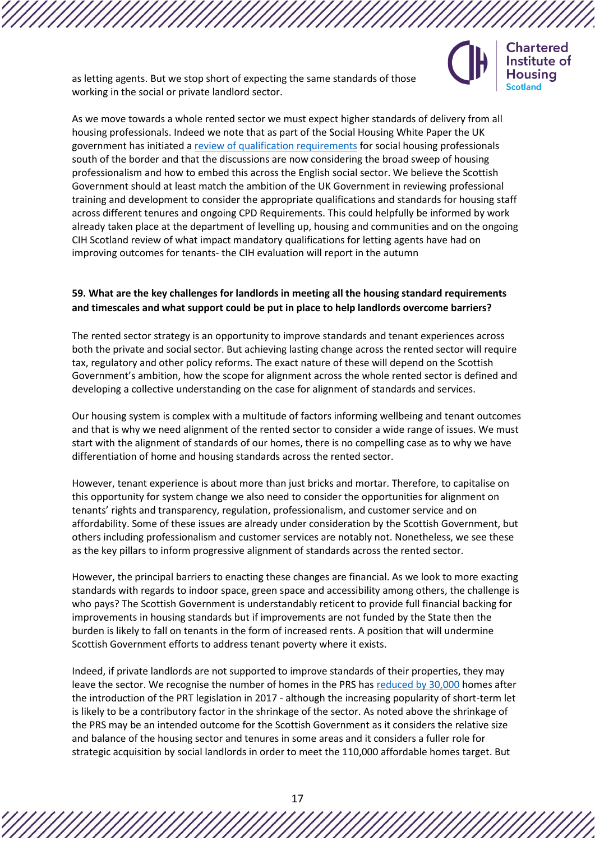as letting agents. But we stop short of expecting the same standards of those working in the social or private landlord sector.

As we move towards a whole rented sector we must expect higher standards of delivery from all housing professionals. Indeed we note that as part of the Social Housing White Paper the UK government has initiated [a review of qualification requirements](https://www.gov.uk/government/publications/the-charter-for-social-housing-residents-social-housing-white-paper/the-charter-for-social-housing-residents-social-housing-white-paper) for social housing professionals south of the border and that the discussions are now considering the broad sweep of housing professionalism and how to embed this across the English social sector. We believe the Scottish Government should at least match the ambition of the UK Government in reviewing professional training and development to consider the appropriate qualifications and standards for housing staff across different tenures and ongoing CPD Requirements. This could helpfully be informed by work already taken place at the department of levelling up, housing and communities and on the ongoing CIH Scotland review of what impact mandatory qualifications for letting agents have had on improving outcomes for tenants- the CIH evaluation will report in the autumn

**Chartered** Institute of Housina **Scotland** 

### **59. What are the key challenges for landlords in meeting all the housing standard requirements and timescales and what support could be put in place to help landlords overcome barriers?**

The rented sector strategy is an opportunity to improve standards and tenant experiences across both the private and social sector. But achieving lasting change across the rented sector will require tax, regulatory and other policy reforms. The exact nature of these will depend on the Scottish Government's ambition, how the scope for alignment across the whole rented sector is defined and developing a collective understanding on the case for alignment of standards and services.

Our housing system is complex with a multitude of factors informing wellbeing and tenant outcomes and that is why we need alignment of the rented sector to consider a wide range of issues. We must start with the alignment of standards of our homes, there is no compelling case as to why we have differentiation of home and housing standards across the rented sector.

However, tenant experience is about more than just bricks and mortar. Therefore, to capitalise on this opportunity for system change we also need to consider the opportunities for alignment on tenants' rights and transparency, regulation, professionalism, and customer service and on affordability. Some of these issues are already under consideration by the Scottish Government, but others including professionalism and customer services are notably not. Nonetheless, we see these as the key pillars to inform progressive alignment of standards across the rented sector.

However, the principal barriers to enacting these changes are financial. As we look to more exacting standards with regards to indoor space, green space and accessibility among others, the challenge is who pays? The Scottish Government is understandably reticent to provide full financial backing for improvements in housing standards but if improvements are not funded by the State then the burden is likely to fall on tenants in the form of increased rents. A position that will undermine Scottish Government efforts to address tenant poverty where it exists.

Indeed, if private landlords are not supported to improve standards of their properties, they may leave the sector. We recognise the number of homes in the PRS ha[s reduced by 30,000](https://www.gov.scot/binaries/content/documents/govscot/publications/statistics/2020/09/scottish-household-survey-2019-annual-report/documents/scotlands-people-annual-report-2019/scotlands-people-annual-report-2019/govscot%3Adocument/scotlands-people-annual-report-2019.pdf?forceDownload=true) homes after the introduction of the PRT legislation in 2017 - although the increasing popularity of short-term let is likely to be a contributory factor in the shrinkage of the sector. As noted above the shrinkage of the PRS may be an intended outcome for the Scottish Government as it considers the relative size and balance of the housing sector and tenures in some areas and it considers a fuller role for strategic acquisition by social landlords in order to meet the 110,000 affordable homes target. But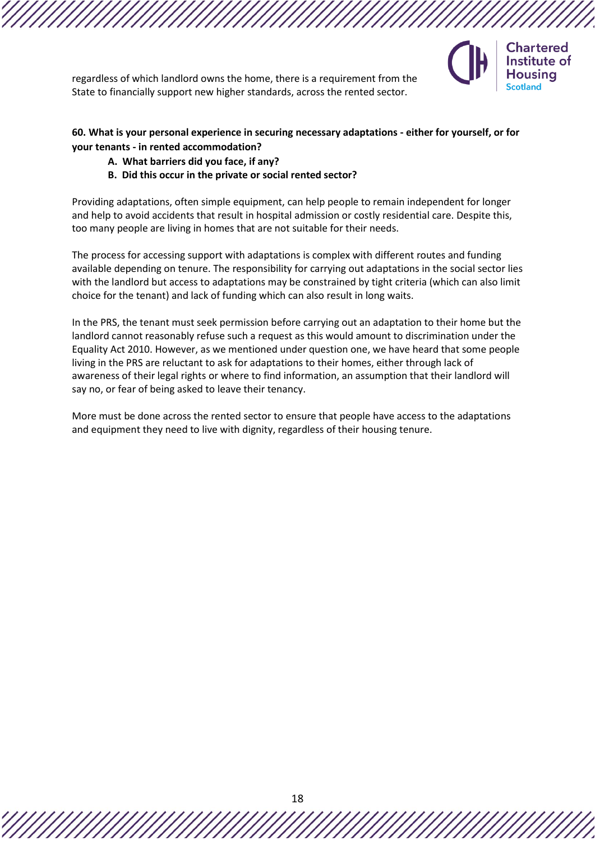

regardless of which landlord owns the home, there is a requirement from the State to financially support new higher standards, across the rented sector.

### **60. What is your personal experience in securing necessary adaptations - either for yourself, or for your tenants - in rented accommodation?**

### **A. What barriers did you face, if any?**

### **B. Did this occur in the private or social rented sector?**

Providing adaptations, often simple equipment, can help people to remain independent for longer and help to avoid accidents that result in hospital admission or costly residential care. Despite this, too many people are living in homes that are not suitable for their needs.

The process for accessing support with adaptations is complex with different routes and funding available depending on tenure. The responsibility for carrying out adaptations in the social sector lies with the landlord but access to adaptations may be constrained by tight criteria (which can also limit choice for the tenant) and lack of funding which can also result in long waits.

In the PRS, the tenant must seek permission before carrying out an adaptation to their home but the landlord cannot reasonably refuse such a request as this would amount to discrimination under the Equality Act 2010. However, as we mentioned under question one, we have heard that some people living in the PRS are reluctant to ask for adaptations to their homes, either through lack of awareness of their legal rights or where to find information, an assumption that their landlord will say no, or fear of being asked to leave their tenancy.

More must be done across the rented sector to ensure that people have access to the adaptations and equipment they need to live with dignity, regardless of their housing tenure.